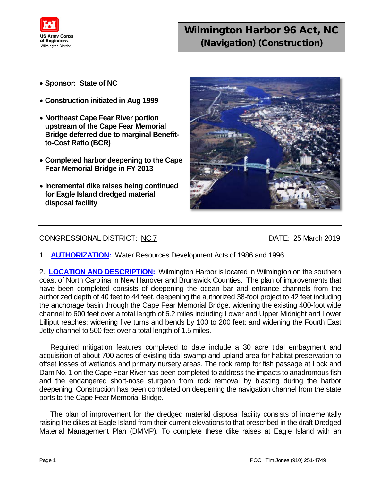

## Wilmington Harbor 96 Act, NC (Navigation) (Construction)

- **Sponsor: State of NC**
- **Construction initiated in Aug 1999**
- **Northeast Cape Fear River portion upstream of the Cape Fear Memorial Bridge deferred due to marginal Benefitto-Cost Ratio (BCR)**
- **Completed harbor deepening to the Cape Fear Memorial Bridge in FY 2013**
- **Incremental dike raises being continued for Eagle Island dredged material disposal facility**



## CONGRESSIONAL DISTRICT: NC 7 DATE: 25 March 2019

1. **AUTHORIZATION:** Water Resources Development Acts of 1986 and 1996.

2. **LOCATION AND DESCRIPTION:** Wilmington Harbor is located in Wilmington on the southern coast of North Carolina in New Hanover and Brunswick Counties. The plan of improvements that have been completed consists of deepening the ocean bar and entrance channels from the authorized depth of 40 feet to 44 feet, deepening the authorized 38-foot project to 42 feet including the anchorage basin through the Cape Fear Memorial Bridge, widening the existing 400-foot wide channel to 600 feet over a total length of 6.2 miles including Lower and Upper Midnight and Lower Lilliput reaches; widening five turns and bends by 100 to 200 feet; and widening the Fourth East Jetty channel to 500 feet over a total length of 1.5 miles.

Required mitigation features completed to date include a 30 acre tidal embayment and acquisition of about 700 acres of existing tidal swamp and upland area for habitat preservation to offset losses of wetlands and primary nursery areas. The rock ramp for fish passage at Lock and Dam No. 1 on the Cape Fear River has been completed to address the impacts to anadromous fish and the endangered short-nose sturgeon from rock removal by blasting during the harbor deepening. Construction has been completed on deepening the navigation channel from the state ports to the Cape Fear Memorial Bridge.

The plan of improvement for the dredged material disposal facility consists of incrementally raising the dikes at Eagle Island from their current elevations to that prescribed in the draft Dredged Material Management Plan (DMMP). To complete these dike raises at Eagle Island with an